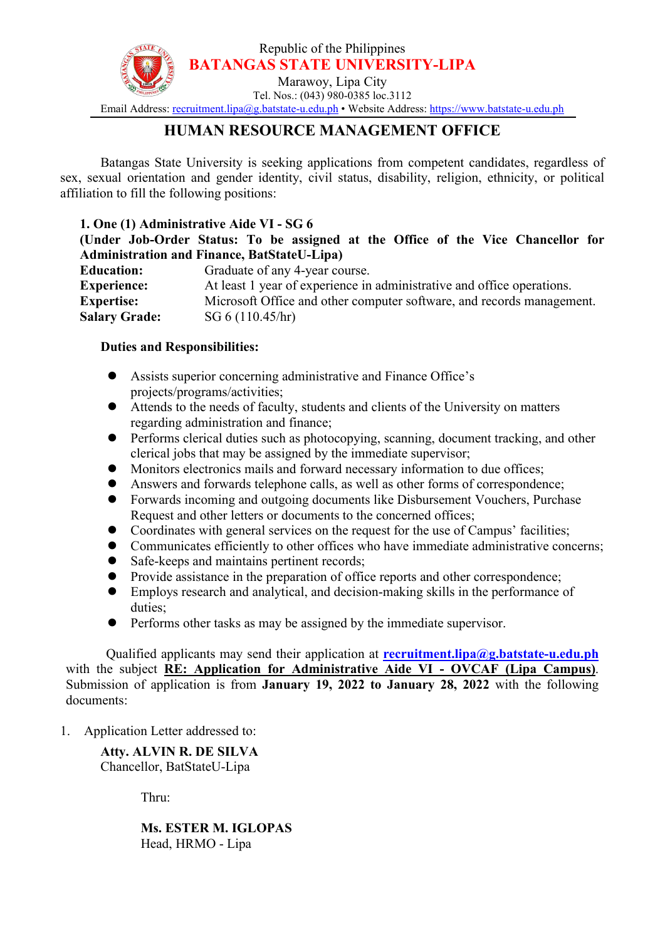

# **HUMAN RESOURCE MANAGEMENT OFFICE**

Batangas State University is seeking applications from competent candidates, regardless of sex, sexual orientation and gender identity, civil status, disability, religion, ethnicity, or political affiliation to fill the following positions:

### **1. One (1) Administrative Aide VI - SG 6**

## **(Under Job-Order Status: To be assigned at the Office of the Vice Chancellor for Administration and Finance, BatStateU-Lipa)**

| <b>Education:</b>    | Graduate of any 4-year course.                                         |
|----------------------|------------------------------------------------------------------------|
| <b>Experience:</b>   | At least 1 year of experience in administrative and office operations. |
| <b>Expertise:</b>    | Microsoft Office and other computer software, and records management.  |
| <b>Salary Grade:</b> | SG 6 (110.45/hr)                                                       |

### **Duties and Responsibilities:**

- Assists superior concerning administrative and Finance Office's projects/programs/activities;
- Attends to the needs of faculty, students and clients of the University on matters regarding administration and finance;
- **•** Performs clerical duties such as photocopying, scanning, document tracking, and other clerical jobs that may be assigned by the immediate supervisor;
- Monitors electronics mails and forward necessary information to due offices;
- Answers and forwards telephone calls, as well as other forms of correspondence;
- Forwards incoming and outgoing documents like Disbursement Vouchers, Purchase Request and other letters or documents to the concerned offices;
- Coordinates with general services on the request for the use of Campus' facilities;
- Communicates efficiently to other offices who have immediate administrative concerns;
- Safe-keeps and maintains pertinent records;
- Provide assistance in the preparation of office reports and other correspondence;
- Employs research and analytical, and decision-making skills in the performance of duties;
- Performs other tasks as may be assigned by the immediate supervisor.

Qualified applicants may send their application at **[recruitment.lipa@g.batstate-u.edu.ph](mailto:recruitment.lipa@g.batstate-u.edu.ph)** with the subject **RE: Application for Administrative Aide VI - OVCAF (Lipa Campus)**. Submission of application is from **January 19, 2022 to January 28, 2022** with the following documents:

1. Application Letter addressed to:

**Atty. ALVIN R. DE SILVA** Chancellor, BatStateU-Lipa

Thru:

**Ms. ESTER M. IGLOPAS** Head, HRMO - Lipa